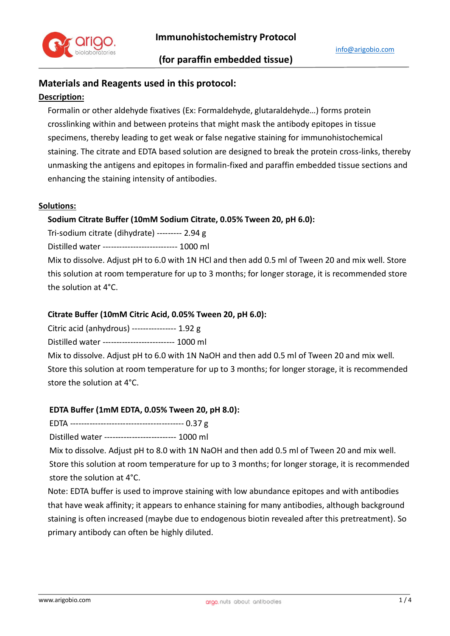

# **Materials and Reagents used in this protocol:**

### **Description:**

Formalin or other aldehyde fixatives (Ex: Formaldehyde, glutaraldehyde…) forms protein crosslinking within and between proteins that might mask the antibody epitopes in tissue specimens, thereby leading to get weak or false negative staining for immunohistochemical staining. The citrate and EDTA based solution are designed to break the protein cross-links, thereby unmasking the antigens and epitopes in formalin-fixed and paraffin embedded tissue sections and enhancing the staining intensity of antibodies.

#### **Solutions:**

### **Sodium Citrate Buffer (10mM Sodium Citrate, 0.05% Tween 20, pH 6.0):**

Tri-sodium citrate (dihydrate) --------- 2.94 g

Distilled water --------------------------- 1000 ml

Mix to dissolve. Adjust pH to 6.0 with 1N HCl and then add 0.5 ml of Tween 20 and mix well. Store this solution at room temperature for up to 3 months; for longer storage, it is recommended store the solution at 4°C.

### **Citrate Buffer (10mM Citric Acid, 0.05% Tween 20, pH 6.0):**

Citric acid (anhydrous) ---------------- 1.92 g

Distilled water -------------------------- 1000 ml

Mix to dissolve. Adjust pH to 6.0 with 1N NaOH and then add 0.5 ml of Tween 20 and mix well. Store this solution at room temperature for up to 3 months; for longer storage, it is recommended store the solution at 4°C.

### **EDTA Buffer (1mM EDTA, 0.05% Tween 20, pH 8.0):**

EDTA ----------------------------------------- 0.37 g

Distilled water -------------------------- 1000 ml

Mix to dissolve. Adjust pH to 8.0 with 1N NaOH and then add 0.5 ml of Tween 20 and mix well.

Store this solution at room temperature for up to 3 months; for longer storage, it is recommended store the solution at 4°C.

Note: EDTA buffer is used to improve staining with low abundance epitopes and with antibodies that have weak affinity; it appears to enhance staining for many antibodies, although background staining is often increased (maybe due to endogenous biotin revealed after this pretreatment). So primary antibody can often be highly diluted.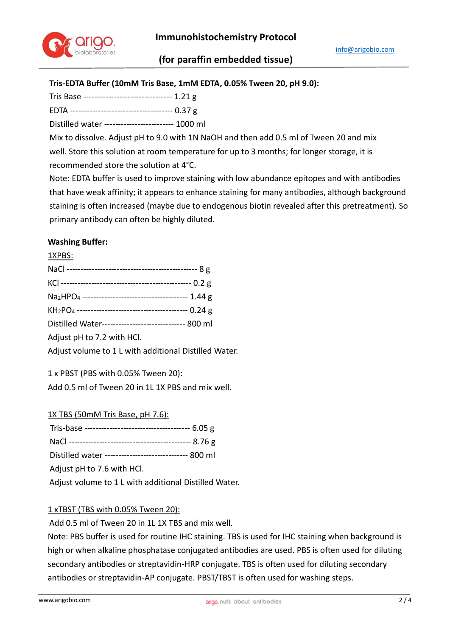

# **(for paraffin embedded tissue)**

# **Tris-EDTA Buffer (10mM Tris Base, 1mM EDTA, 0.05% Tween 20, pH 9.0):**

Tris Base -------------------------------- 1.21 g

EDTA ------------------------------------- 0.37 g

Distilled water ------------------------- 1000 ml

Mix to dissolve. Adjust pH to 9.0 with 1N NaOH and then add 0.5 ml of Tween 20 and mix well. Store this solution at room temperature for up to 3 months; for longer storage, it is recommended store the solution at 4°C.

Note: EDTA buffer is used to improve staining with low abundance epitopes and with antibodies that have weak affinity; it appears to enhance staining for many antibodies, although background staining is often increased (maybe due to endogenous biotin revealed after this pretreatment). So primary antibody can often be highly diluted.

## **Washing Buffer:**

1XPBS:

| Distilled Water------------------------------ 800 ml                   |
|------------------------------------------------------------------------|
| Adjust pH to 7.2 with HCl.                                             |
| اللطا والتعاتب المسمئط الملمس والتنبيب الكرمية ومستبرا ويتطويناه الراز |

Adjust volume to 1 L with additional Distilled Water.

### 1 x PBST (PBS with 0.05% Tween 20):

Add 0.5 ml of Tween 20 in 1L 1X PBS and mix well.

1X TBS (50mM Tris Base, pH 7.6): Tris-base -------------------------------------- 6.05 g NaCl -------------------------------------------- 8.76 g Distilled water ------------------------------ 800 ml Adjust pH to 7.6 with HCl. Adjust volume to 1 L with additional Distilled Water.

### 1 xTBST (TBS with 0.05% Tween 20):

Add 0.5 ml of Tween 20 in 1L 1X TBS and mix well.

Note: PBS buffer is used for routine IHC staining. TBS is used for IHC staining when background is high or when alkaline phosphatase conjugated antibodies are used. PBS is often used for diluting secondary antibodies or streptavidin-HRP conjugate. TBS is often used for diluting secondary antibodies or streptavidin-AP conjugate. PBST/TBST is often used for washing steps.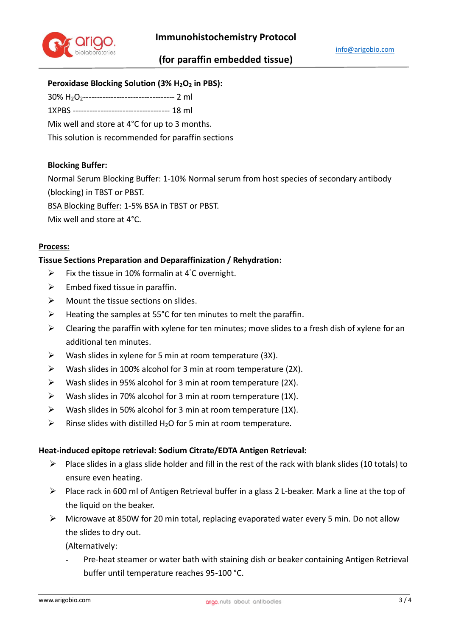

# **Peroxidase Blocking Solution (3% H2O<sup>2</sup> in PBS):**

30% H2O2--------------------------------- 2 ml

1XPBS ----------------------------------- 18 ml

Mix well and store at 4°C for up to 3 months.

This solution is recommended for paraffin sections

### **Blocking Buffer:**

Normal Serum Blocking Buffer: 1-10% Normal serum from host species of secondary antibody (blocking) in TBST or PBST.

BSA Blocking Buffer: 1-5% BSA in TBST or PBST.

Mix well and store at 4°C.

### **Process:**

### **Tissue Sections Preparation and Deparaffinization / Rehydration:**

- $\triangleright$  Fix the tissue in 10% formalin at 4°C overnight.
- $\triangleright$  Embed fixed tissue in paraffin.
- $\triangleright$  Mount the tissue sections on slides.
- $\triangleright$  Heating the samples at 55°C for ten minutes to melt the paraffin.
- $\triangleright$  Clearing the paraffin with xylene for ten minutes; move slides to a fresh dish of xylene for an additional ten minutes.
- $\triangleright$  Wash slides in xylene for 5 min at room temperature (3X).
- $\triangleright$  Wash slides in 100% alcohol for 3 min at room temperature (2X).
- $\triangleright$  Wash slides in 95% alcohol for 3 min at room temperature (2X).
- $\triangleright$  Wash slides in 70% alcohol for 3 min at room temperature (1X).
- $\triangleright$  Wash slides in 50% alcohol for 3 min at room temperature (1X).
- $\triangleright$  Rinse slides with distilled H<sub>2</sub>O for 5 min at room temperature.

### **Heat-induced epitope retrieval: Sodium Citrate/EDTA Antigen Retrieval:**

- $\triangleright$  Place slides in a glass slide holder and fill in the rest of the rack with blank slides (10 totals) to ensure even heating.
- Place rack in 600 ml of Antigen Retrieval buffer in a glass 2 L-beaker. Mark a line at the top of the liquid on the beaker.
- Microwave at 850W for 20 min total, replacing evaporated water every 5 min. Do not allow the slides to dry out.

(Alternatively:

Pre-heat steamer or water bath with staining dish or beaker containing Antigen Retrieval buffer until temperature reaches 95-100 °C.